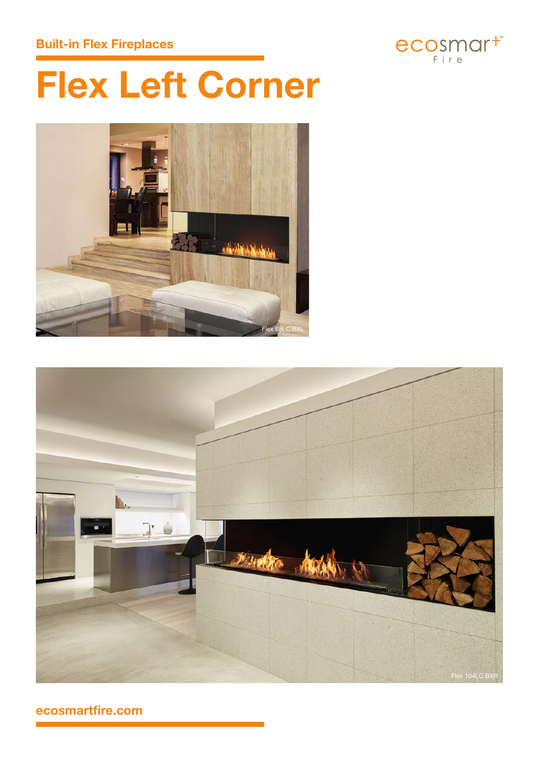# **Built-in Flex Fireplaces**



# **Flex Left Corner**





**ecosmartfire.com**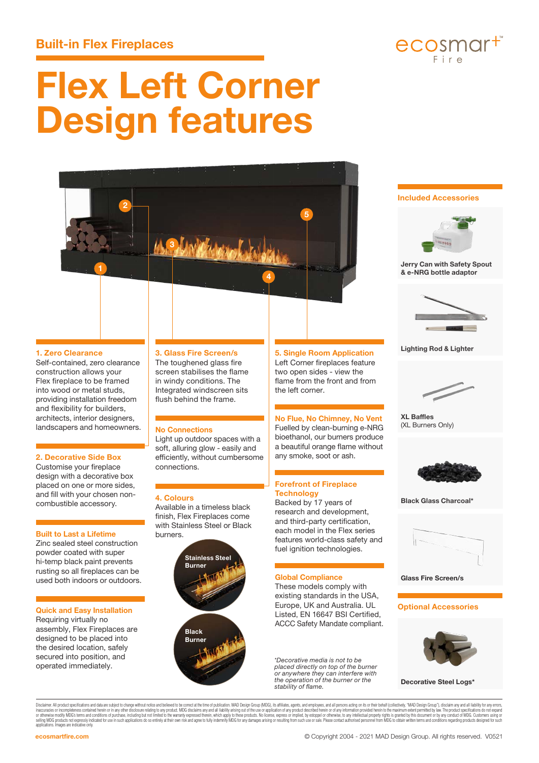# **Built-in Flex Fireplaces**



# **Flex Left Corner Design features**



### **Included Accessories**



**Jerry Can with Safety Spout & e-NRG bottle adaptor**



#### **Lighting Rod & Lighter**



**XL Baffles** (XL Burners Only)



**Black Glass Charcoal\***



**Glass Fire Screen/s**

#### **Optional Accessories**



**Decorative Steel Logs\***

Disclaimer. All product specifications and data are subject to change without notice and believed to be correct at the time of publication. MAD Design Group (MDG), its affiliates, agents, and employees, and all persons act iraccuracies or incompletenes contained herein or any other disclosure relating to any noduct. MDG disclaims any and all liablity arising out of the use or application dany product described herein or dany information prov applications. Images are indicative only.

### **1. Zero Clearance**

Self-contained, zero clearance construction allows your Flex fireplace to be framed into wood or metal studs, providing installation freedom and flexibility for builders, architects, interior designers, landscapers and homeowners.

#### **2. Decorative Side Box**

Customise your fireplace design with a decorative box placed on one or more sides, and fill with your chosen noncombustible accessory.

#### **Built to Last a Lifetime**

Zinc sealed steel construction powder coated with super hi-temp black paint prevents rusting so all fireplaces can be used both indoors or outdoors.

#### **Quick and Easy Installation**

Requiring virtually no assembly, Flex Fireplaces are designed to be placed into the desired location, safely secured into position, and operated immediately.

## **3. Glass Fire Screen/s**

The toughened glass fire screen stabilises the flame in windy conditions. The Integrated windscreen sits flush behind the frame.

#### **No Connections**

Light up outdoor spaces with a soft, alluring glow - easily and efficiently, without cumbersome connections.

#### **4. Colours**

Available in a timeless black finish, Flex Fireplaces come with Stainless Steel or Black burners.



© Copyright 2004 - 2021 MAD Design Group. All rights reserved. V0521

**5. Single Room Application** Left Corner fireplaces feature two open sides - view the flame from the front and from

**No Flue, No Chimney, No Vent** Fuelled by clean-burning e-NRG bioethanol, our burners produce a beautiful orange flame without any smoke, soot or ash.

**Forefront of Fireplace** 

Backed by 17 years of research and development, and third-party certification, each model in the Flex series features world-class safety and fuel ignition technologies.

**Global Compliance** These models comply with existing standards in the USA, Europe, UK and Australia. UL Listed, EN 16647 BSI Certified, ACCC Safety Mandate compliant.

*\*Decorative media is not to be placed directly on top of the burner or anywhere they can interfere with the operation of the burner or the* 

*stability of flame.*

**Technology**

the left corner.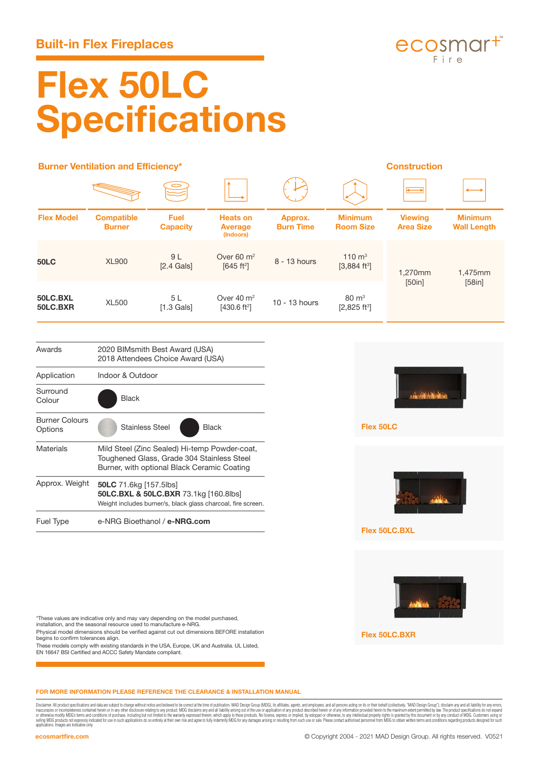

# **Flex 50LC Specifications**

|                       | <b>Burner Ventilation and Efficiency*</b>                           |                                |                                                   | <b>Construction</b>         |                                                |                                    |                                      |
|-----------------------|---------------------------------------------------------------------|--------------------------------|---------------------------------------------------|-----------------------------|------------------------------------------------|------------------------------------|--------------------------------------|
|                       |                                                                     |                                |                                                   |                             |                                                | →                                  |                                      |
| <b>Flex Model</b>     | <b>Compatible</b><br><b>Burner</b>                                  | <b>Fuel</b><br><b>Capacity</b> | <b>Heats on</b><br><b>Average</b><br>(Indoors)    | Approx.<br><b>Burn Time</b> | <b>Minimum</b><br><b>Room Size</b>             | <b>Viewing</b><br><b>Area Size</b> | <b>Minimum</b><br><b>Wall Length</b> |
| <b>50LC</b>           | <b>XL900</b>                                                        | 9 L<br>$[2.4$ Gals $]$         | Over 60 $m2$<br>[645 ft <sup>2</sup> ]            | 8 - 13 hours                | $110 \text{ m}^3$<br>$[3,884 \text{ ft}^3]$    | 1,270mm<br>[50in]                  | 1,475mm<br>[58in]                    |
| 50LC.BXL<br>50LC.BXR  | <b>XL500</b>                                                        | 5L<br>$[1.3$ Gals]             | Over $40 \text{ m}^2$<br>[430.6 ft <sup>2</sup> ] | 10 - 13 hours               | $80 \text{ m}^3$<br>$[2,825$ ft <sup>3</sup> ] |                                    |                                      |
| Awards                | 2020 BIMsmith Best Award (USA)<br>2018 Attendees Choice Award (USA) |                                |                                                   |                             |                                                |                                    |                                      |
| Application           | Indoor & Outdoor                                                    |                                |                                                   |                             |                                                |                                    |                                      |
| Surround<br>Colour    | <b>Black</b>                                                        |                                |                                                   |                             |                                                |                                    |                                      |
| <b>Burner Colours</b> | .                                                                   |                                | $  -$                                             |                             | $-1$ $-21$                                     |                                    |                                      |

| Options          | <b>Stainless Steel</b><br><b>Black</b>                                                                                                     |  |  |  |  |
|------------------|--------------------------------------------------------------------------------------------------------------------------------------------|--|--|--|--|
| Materials        | Mild Steel (Zinc Sealed) Hi-temp Powder-coat,<br>Toughened Glass, Grade 304 Stainless Steel<br>Burner, with optional Black Ceramic Coating |  |  |  |  |
| Approx. Weight   | 50LC 71.6kg [157.5lbs]<br>50LC.BXL & 50LC.BXR 73.1kg [160.8lbs]<br>Weight includes burner/s, black glass charcoal, fire screen.            |  |  |  |  |
| <b>Fuel Type</b> | e-NRG Bioethanol / e-NRG.com                                                                                                               |  |  |  |  |



**Flex 50LC.BXL**

**Flex 50LC**



\*These values are indicative only and may vary depending on the model purchased, installation, and the seasonal resource used to manufacture e-NRG.

Physical model dimensions should be verified against cut out dimensions BEFORE installation begins to confirm tolerances align.

These models comply with existing standards in the USA, Europe, UK and Australia. UL Listed, EN 16647 BSI Certified and ACCC Safety Mandate compliant.

**Flex 50LC.BXR**

## **FOR MORE INFORMATION PLEASE REFERENCE THE CLEARANCE & INSTALLATION MANUAL**

Disclusions. All product parameter and data as ubject to change without notice and believed to be correct the time of publication. MAD besign Group (MDC), its filled that we are all product about a such a such as a such as